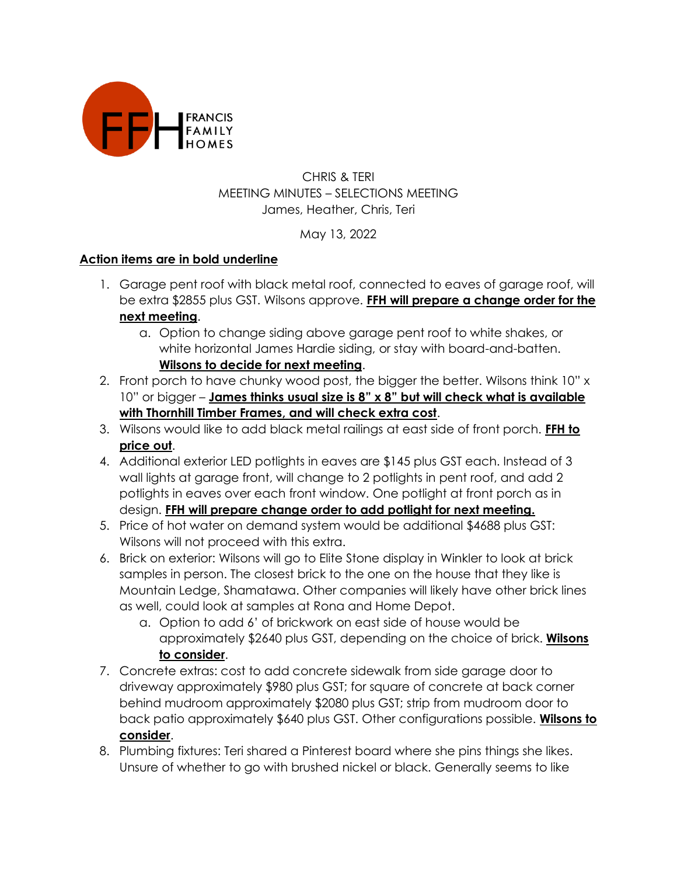

## CHRIS & TERI MEETING MINUTES – SELECTIONS MEETING James, Heather, Chris, Teri

## May 13, 2022

## **Action items are in bold underline**

- 1. Garage pent roof with black metal roof, connected to eaves of garage roof, will be extra \$2855 plus GST. Wilsons approve. **FFH will prepare a change order for the next meeting**.
	- a. Option to change siding above garage pent roof to white shakes, or white horizontal James Hardie siding, or stay with board-and-batten. **Wilsons to decide for next meeting**.
- 2. Front porch to have chunky wood post, the bigger the better. Wilsons think 10" x 10" or bigger – **James thinks usual size is 8" x 8" but will check what is available with Thornhill Timber Frames, and will check extra cost**.
- 3. Wilsons would like to add black metal railings at east side of front porch. **FFH to price out**.
- 4. Additional exterior LED potlights in eaves are \$145 plus GST each. Instead of 3 wall lights at garage front, will change to 2 potlights in pent roof, and add 2 potlights in eaves over each front window. One potlight at front porch as in design. **FFH will prepare change order to add potlight for next meeting.**
- 5. Price of hot water on demand system would be additional \$4688 plus GST: Wilsons will not proceed with this extra.
- 6. Brick on exterior: Wilsons will go to Elite Stone display in Winkler to look at brick samples in person. The closest brick to the one on the house that they like is Mountain Ledge, Shamatawa. Other companies will likely have other brick lines as well, could look at samples at Rona and Home Depot.
	- a. Option to add 6' of brickwork on east side of house would be approximately \$2640 plus GST, depending on the choice of brick. **Wilsons to consider**.
- 7. Concrete extras: cost to add concrete sidewalk from side garage door to driveway approximately \$980 plus GST; for square of concrete at back corner behind mudroom approximately \$2080 plus GST; strip from mudroom door to back patio approximately \$640 plus GST. Other configurations possible. **Wilsons to consider**.
- 8. Plumbing fixtures: Teri shared a Pinterest board where she pins things she likes. Unsure of whether to go with brushed nickel or black. Generally seems to like